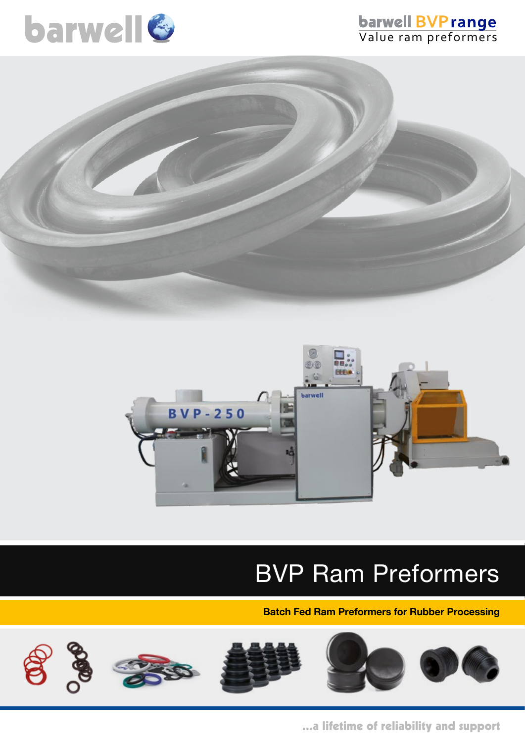

# **barwell BVP range**<br>Value ram preformers





# BVP Ram Preformers

**Batch Fed Ram Preformers for Rubber Processing**



...a lifetime of reliability and support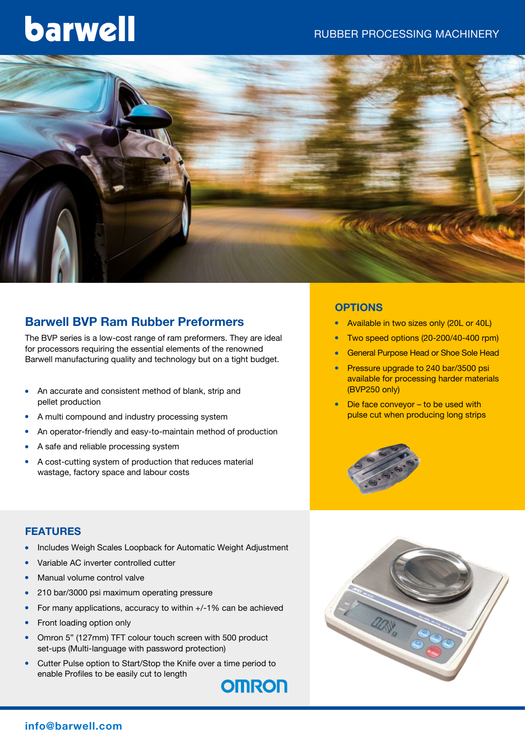# barwell



## **Barwell BVP Ram Rubber Preformers**

The BVP series is a low-cost range of ram preformers. They are ideal for processors requiring the essential elements of the renowned Barwell manufacturing quality and technology but on a tight budget.

- An accurate and consistent method of blank, strip and pellet production
- A multi compound and industry processing system
- An operator-friendly and easy-to-maintain method of production
- A safe and reliable processing system
- A cost-cutting system of production that reduces material wastage, factory space and labour costs

#### **OPTIONS**

- Available in two sizes only (20L or 40L)
- <sup>l</sup> Two speed options (20-200/40-400 rpm)
- **General Purpose Head or Shoe Sole Head**
- Pressure upgrade to 240 bar/3500 psi available for processing harder materials (BVP250 only)
- Die face conveyor to be used with pulse cut when producing long strips





- <sup>l</sup> Includes Weigh Scales Loopback for Automatic Weight Adjustment
- Variable AC inverter controlled cutter
- Manual volume control valve
- 210 bar/3000 psi maximum operating pressure
- For many applications, accuracy to within  $+/-1\%$  can be achieved
- Front loading option only
- Omron 5" (127mm) TFT colour touch screen with 500 product set-ups (Multi-language with password protection)
- Cutter Pulse option to Start/Stop the Knife over a time period to enable Profiles to be easily cut to length



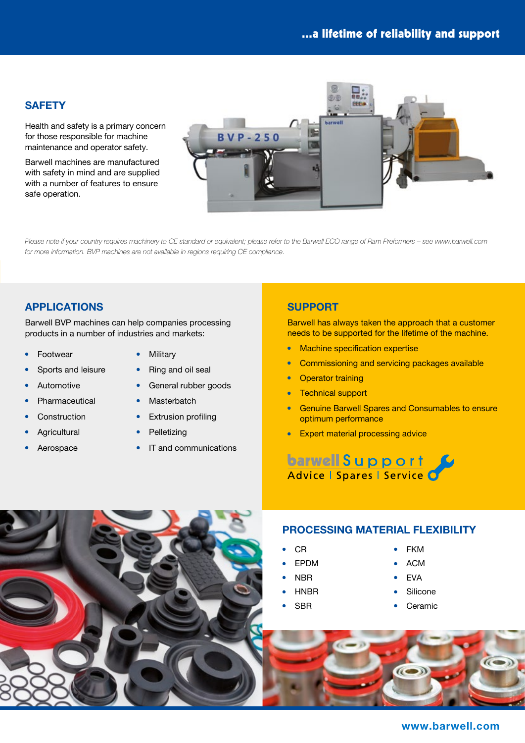#### **SAFETY**

Health and safety is a primary concern for those responsible for machine maintenance and operator safety.

Barwell machines are manufactured with safety in mind and are supplied with a number of features to ensure safe operation.



*Please note if your country requires machinery to CE standard or equivalent; please refer to the Barwell ECO range of Ram Preformers – see www.barwell.com for more information. BVP machines are not available in regions requiring CE compliance.*

#### **APPLICATIONS**

• Sports and leisure

Barwell BVP machines can help companies processing products in a number of industries and markets:

- Footwear
- **Military**
- Ring and oil seal
- Automotive
	- **Pharmaceutical**
- Construction
- **Agricultural**
- Aerospace
- 
- **•** General rubber goods
- Masterbatch
- $\bullet$  Extrusion profiling
- Pelletizing
- $\cdot$  IT and communications

#### **SUPPORT**

Barwell has always taken the approach that a customer needs to be supported for the lifetime of the machine.

- Machine specification expertise
- **•** Commissioning and servicing packages available
- **Operator training**
- **Technical support**
- **Genuine Barwell Spares and Consumables to ensure** optimum performance
- **Expert material processing advice**

barwell Support

### **PROCESSING MATERIAL FLEXIBILITY**

- <sup>l</sup> CR
- **FPDM**
- <sup>l</sup> NBR
- **HNBR**
- <sup>l</sup> SBR
- <sup>l</sup> FKM
- <sup>l</sup> ACM
- **FVA**
- Silicone
- Ceramic



#### **www.barwell.com**